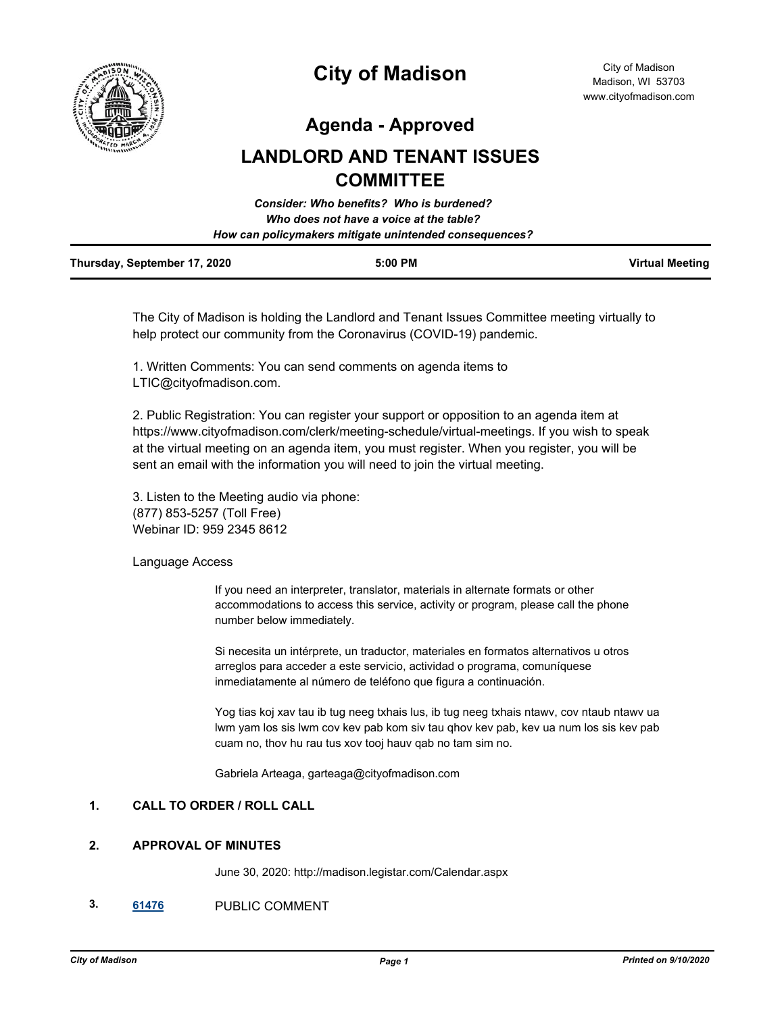

# **City of Madison**

**Agenda - Approved**

## **LANDLORD AND TENANT ISSUES COMMITTEE**

|                              | Consider: Who benefits? Who is burdened?               |                        |
|------------------------------|--------------------------------------------------------|------------------------|
|                              | Who does not have a voice at the table?                |                        |
|                              | How can policymakers mitigate unintended consequences? |                        |
| Thursday, September 17, 2020 | $5:00$ PM                                              | <b>Virtual Meeting</b> |

The City of Madison is holding the Landlord and Tenant Issues Committee meeting virtually to help protect our community from the Coronavirus (COVID-19) pandemic.

1. Written Comments: You can send comments on agenda items to LTIC@cityofmadison.com.

2. Public Registration: You can register your support or opposition to an agenda item at https://www.cityofmadison.com/clerk/meeting-schedule/virtual-meetings. If you wish to speak at the virtual meeting on an agenda item, you must register. When you register, you will be sent an email with the information you will need to join the virtual meeting.

3. Listen to the Meeting audio via phone: (877) 853-5257 (Toll Free) Webinar ID: 959 2345 8612

## Language Access

If you need an interpreter, translator, materials in alternate formats or other accommodations to access this service, activity or program, please call the phone number below immediately.

Si necesita un intérprete, un traductor, materiales en formatos alternativos u otros arreglos para acceder a este servicio, actividad o programa, comuníquese inmediatamente al número de teléfono que figura a continuación.

Yog tias koj xav tau ib tug neeg txhais lus, ib tug neeg txhais ntawv, cov ntaub ntawv ua lwm yam los sis lwm cov kev pab kom siv tau qhov kev pab, kev ua num los sis kev pab cuam no, thov hu rau tus xov tooj hauv qab no tam sim no.

Gabriela Arteaga, garteaga@cityofmadison.com

## **1. CALL TO ORDER / ROLL CALL**

## **2. APPROVAL OF MINUTES**

June 30, 2020: http://madison.legistar.com/Calendar.aspx

**3. [61476](http://madison.legistar.com/gateway.aspx?m=l&id=/matter.aspx?key=72192)** PUBLIC COMMENT